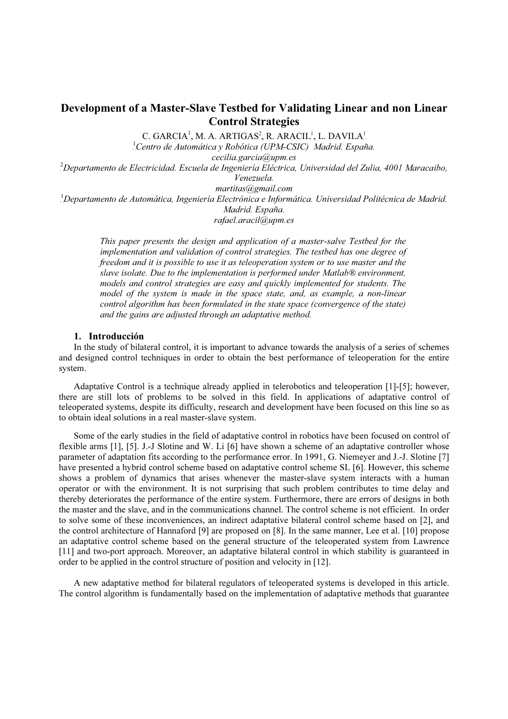# Development of a Master-Slave Testbed for Validating Linear and non Linear Control Strategies

C. GARCIA<sup>1</sup>, M. A. ARTIGAS<sup>2</sup>, R. ARACIL<sup>1</sup>, L. DAVILA<sup>1</sup>

<sup>1</sup>Centro de Automática y Robótica (UPM-CSIC) Madrid. España.

cecilia.garcia@upm.es

P 2 <sup>P</sup>Departamento de Electricidad. Escuela de Ingeniería Eléctrica, Universidad del Zulia, 4001 Maracaibo, Venezuela.

martitas@gmail.com

 $^1$ Departamento de Automática, Ingeniería Electrónica e Informática. Universidad Politécnica de Madrid. Madrid. España.

rafael.aracil@upm.es

This paper presents the design and application of a master-salve Testbed for the implementation and validation of control strategies. The testbed has one degree of freedom and it is possible to use it as teleoperation system or to use master and the slave isolate. Due to the implementation is performed under Matlab® environment, models and control strategies are easy and quickly implemented for students. The model of the system is made in the space state, and, as example, a non-linear control algorithm has been formulated in the state space (convergence of the state) and the gains are adjusted through an adaptative method.

## 1. Introducción

In the study of bilateral control, it is important to advance towards the analysis of a series of schemes and designed control techniques in order to obtain the best performance of teleoperation for the entire system.

Adaptative Control is a technique already applied in telerobotics and teleoperation [1]-[5]; however, there are still lots of problems to be solved in this field. In applications of adaptative control of teleoperated systems, despite its difficulty, research and development have been focused on this line so as to obtain ideal solutions in a real master-slave system.

Some of the early studies in the field of adaptative control in robotics have been focused on control of flexible arms [1], [5]. J.-J Slotine and W. Li [6] have shown a scheme of an adaptative controller whose parameter of adaptation fits according to the performance error. In 1991, G. Niemeyer and J.-J. Slotine [7] have presented a hybrid control scheme based on adaptative control scheme SL [6]. However, this scheme shows a problem of dynamics that arises whenever the master-slave system interacts with a human operator or with the environment. It is not surprising that such problem contributes to time delay and thereby deteriorates the performance of the entire system. Furthermore, there are errors of designs in both the master and the slave, and in the communications channel. The control scheme is not efficient. In order to solve some of these inconveniences, an indirect adaptative bilateral control scheme based on [2], and the control architecture of Hannaford [9] are proposed on [8]. In the same manner, Lee et al. [10] propose an adaptative control scheme based on the general structure of the teleoperated system from Lawrence [11] and two-port approach. Moreover, an adaptative bilateral control in which stability is guaranteed in order to be applied in the control structure of position and velocity in [12].

A new adaptative method for bilateral regulators of teleoperated systems is developed in this article. The control algorithm is fundamentally based on the implementation of adaptative methods that guarantee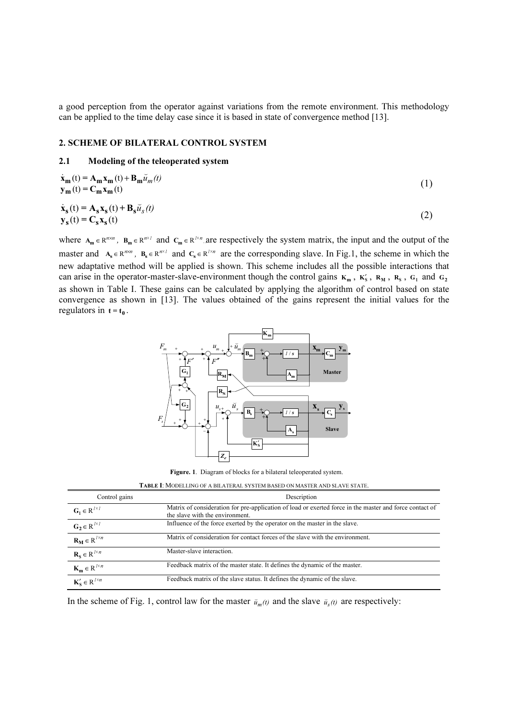a good perception from the operator against variations from the remote environment. This methodology can be applied to the time delay case since it is based in state of convergence method [13].

#### 2. SCHEME OF BILATERAL CONTROL SYSTEM

#### 2.1 Modeling of the teleoperated system

$$
\dot{\mathbf{x}}_{m}(t) = \mathbf{A}_{m}\mathbf{x}_{m}(t) + \mathbf{B}_{m}\breve{u}_{m}(t)
$$
\n
$$
\mathbf{y}_{m}(t) = \mathbf{C}_{m}\mathbf{x}_{m}(t)
$$
\n
$$
\dot{\mathbf{x}}_{s}(t) = \mathbf{A}_{s}\mathbf{x}_{s}(t) + \mathbf{B}_{s}\breve{u}_{s}(t)
$$
\n
$$
\mathbf{y}_{s}(t) = \mathbf{C}_{s}\mathbf{x}_{s}(t)
$$
\n(2)

where  $A_m \in R^{n \times n}$ ,  $B_m \in R^{n \times 1}$  and  $C_m \in R^{1 \times n}$  are respectively the system matrix, the input and the output of the master and  $A_s \in R^{n \times n}$ ,  $B_s \in R^{n \times 1}$  and  $C_s \in R^{1 \times n}$  are the corresponding slave. In Fig.1, the scheme in which the new adaptative method will be applied is shown. This scheme includes all the possible interactions that can arise in the operator-master-slave-environment though the control gains  $K_m$ ,  $K'_S$ ,  $R_M$ ,  $R_S$ ,  $G_1$  and  $G_2$ as shown in Table I. These gains can be calculated by applying the algorithm of control based on state convergence as shown in [13]. The values obtained of the gains represent the initial values for the regulators in  $t = t_0$ .



Figure. 1. Diagram of blocks for a bilateral teleoperated system.

TABLE I: <sup>M</sup>ODELLING OF A BILATERAL SYSTEM BASED ON MASTER AND SLAVE STATE.

| Control gains                                                                               | Description                                                                                                                                |
|---------------------------------------------------------------------------------------------|--------------------------------------------------------------------------------------------------------------------------------------------|
| $G_1 \in R^{1 \times 1}$                                                                    | Matrix of consideration for pre-application of load or exerted force in the master and force contact of<br>the slave with the environment. |
| $G_2 \in R^{1 \times 1}$                                                                    | Influence of the force exerted by the operator on the master in the slave.                                                                 |
| $\frac{\mathbf{R_M} \in \mathbb{R}^{l \times n}}{\mathbf{R_S} \in \mathbb{R}^{l \times n}}$ | Matrix of consideration for contact forces of the slave with the environment.                                                              |
|                                                                                             | Master-slave interaction.                                                                                                                  |
| $\mathbf{K}_{\mathbf{m}} \in \mathbb{R}^{l \times n}$                                       | Feedback matrix of the master state. It defines the dynamic of the master.                                                                 |
| $\mathbf{K}'_{\mathbf{S}} \in \mathbb{R}^{l \times n}$                                      | Feedback matrix of the slave status. It defines the dynamic of the slave.                                                                  |

In the scheme of Fig. 1, control law for the master  $\bar{u}_m(t)$  and the slave  $\bar{u}_s(t)$  are respectively: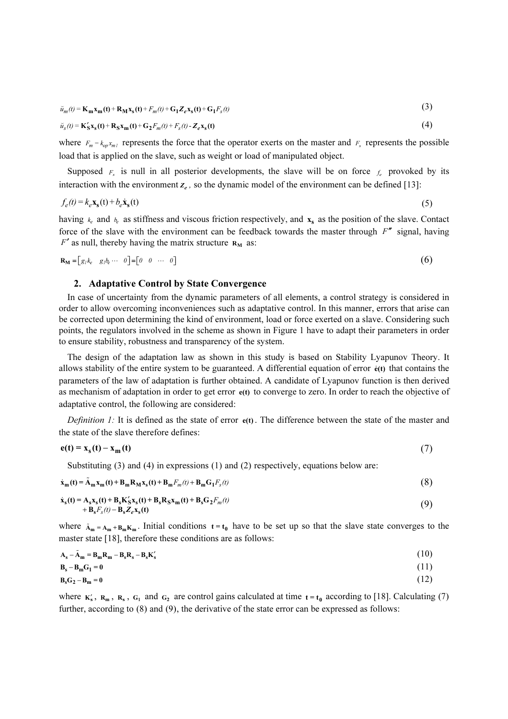$$
\widetilde{u}_m(t) = \mathbf{K_m} \mathbf{x_m(t)} + \mathbf{R_M} \mathbf{x_s(t)} + F_m(t) + \mathbf{G_1} Z_e \mathbf{x_s(t)} + \mathbf{G_1} F_s(t)
$$
\n
$$
\widetilde{u}_s(t) = \mathbf{K_S'} \mathbf{x_s(t)} + \mathbf{R_S} \mathbf{x_m(t)} + \mathbf{G_2} F_m(t) + F_s(t) - Z_e \mathbf{x_s(t)}
$$
\n(4)

$$
\breve{u}_s(t) = \mathbf{K}_S' \mathbf{x}_s(t) + \mathbf{R}_S \mathbf{x}_m(t) + \mathbf{G}_2 F_m(t) + F_s(t) - Z_e \mathbf{x}_s(t)
$$
\n(4)

where  $F_m = k_{op} x_{ml}$  represents the force that the operator exerts on the master and  $F_s$  represents the possible load that is applied on the slave, such as weight or load of manipulated object.

Supposed  $F_s$  is null in all posterior developments, the slave will be on force  $f_e$  provoked by its interaction with the environment  $z_{\ell}$ , so the dynamic model of the environment can be defined [13]: oad that is applied on the slave, such as weight or load of manipulated object.<br>
Supposed  $F_s$  is null in all posterior developments, the slave will be on force  $f_e$  provoked by the metraction with the environment  $z_e$ , s

$$
f_e(t) = k_e \mathbf{x}_s(t) + b_e \dot{\mathbf{x}}_s(t)
$$
\n<sup>(5)</sup>

having  $k_e$  and  $b_e$  as stiffness and viscous friction respectively, and  $\mathbf{x}_s$  as the position of the slave. Contact force of the slave with the environment can be feedback towards the master through  $F''$  signal, having  $F'$  as null, thereby having the matrix structure  $R_M$  as:

$$
\mathbf{R}_{\mathbf{M}} = [g_1 k_e \quad g_1 b_e \cdots \quad 0] = [0 \quad 0 \quad \cdots \quad 0]
$$

#### 2. Adaptative Control by State Convergence

In case of uncertainty from the dynamic parameters of all elements, a control strategy is considered in order to allow overcoming inconveniences such as adaptative control. In this manner, errors that arise can be corrected upon determining the kind of environment, load or force exerted on a slave. Considering such points, the regulators involved in the scheme as shown in Figure 1 have to adapt their parameters in order to ensure stability, robustness and transparency of the system.

The design of the adaptation law as shown in this study is based on Stability Lyapunov Theory. It allows stability of the entire system to be guaranteed. A differential equation of error  $\dot{\epsilon}(t)$  that contains the parameters of the law of adaptation is further obtained. A candidate of Lyapunov function is then derived as mechanism of adaptation in order to get error e(t) to converge to zero. In order to reach the objective of adaptative control, the following are considered:

*Definition 1:* It is defined as the state of error  $e(t)$ . The difference between the state of the master and the state of the slave therefore defines:

$$
\mathbf{e(t)} = \mathbf{x}_{s}(t) - \mathbf{x}_{m}(t)
$$
(7)  
Substituting (3) and (4) in expressions (1) and (2) respectively, equations below are:  

$$
\dot{\mathbf{x}}_{m}(t) = \tilde{\mathbf{A}}_{m}\mathbf{x}_{m}(t) + \mathbf{B}_{m}\mathbf{R}_{M}\mathbf{x}_{s}(t) + \mathbf{B}_{m}F_{m}(t) + \mathbf{B}_{m}\mathbf{G}_{1}F_{s}(t)
$$
(8)

Substituting (3) and (4) in expressions (1) and (2) respectively, equations below are:

$$
\dot{\mathbf{x}}_{m}(t) = \tilde{\mathbf{A}}_{m} \mathbf{x}_{m}(t) + \mathbf{B}_{m} \mathbf{R}_{M} \mathbf{x}_{s}(t) + \mathbf{B}_{m} F_{m}(t) + \mathbf{B}_{m} \mathbf{G}_{1} F_{s}(t)
$$
\n(8)

$$
\dot{\mathbf{x}}_{s}(t) = \mathbf{A}_{s}\mathbf{x}_{s}(t) + \mathbf{B}_{s}\mathbf{K}_{s}'\mathbf{x}_{s}(t) + \mathbf{B}_{s}\mathbf{R}_{s}\mathbf{x}_{m}(t) + \mathbf{B}_{s}\mathbf{G}_{2}F_{m}(t) + \mathbf{B}_{s}F_{s}(t) - \mathbf{B}_{s}\mathbf{Z}_{e}\mathbf{x}_{s}(t)
$$
\n(9)

where  $\tilde{A}_{m} = A_{m} + B_{m}K_{m}$ . Initial conditions  $t = t_0$  have to be set up so that the slave state converges to the master state [18], therefore these conditions are as follows: where  $\tilde{A}_{m} = A_{m} + B_{m} K_{m}$ . Initial conditions  $t = t_{0}$  have to be set up so that the slave state converges to master state [18], therefore these conditions are as follows:<br> $A_{s} - \tilde{A}_{m} = B_{m} R_{m} - B_{s} R_{s} - B_{s} K'_{s}$ 

$$
\mathbf{A_s} - \tilde{\mathbf{A}}_{m} = \mathbf{B_m} \mathbf{R_m} - \mathbf{B_s} \mathbf{R_s} - \mathbf{B_s} \mathbf{K_s'} \tag{10}
$$

$$
\mathbf{B_s} - \mathbf{B_m} \mathbf{G_1} = 0 \tag{11}
$$

$$
\mathbf{B}_s \mathbf{G}_2 - \mathbf{B}_m = \mathbf{0} \tag{12}
$$

where  $K'_s$ ,  $R_m$ ,  $R_s$ ,  $G_1$  and  $G_2$  are control gains calculated at time  $t = t_0$  according to [18]. Calculating (7) further, according to (8) and (9), the derivative of the state error can be expressed as follows: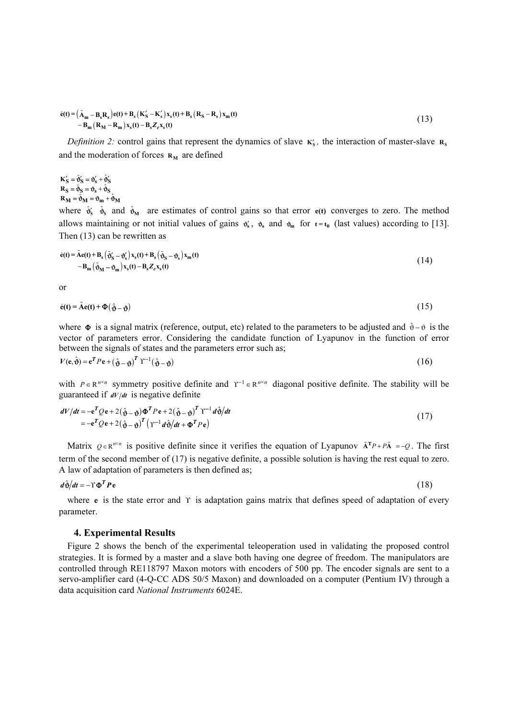$$
\dot{\mathbf{e}}(t) = (\tilde{\mathbf{A}}_{\mathbf{m}} - \mathbf{B}_{\mathbf{s}} \mathbf{R}_{\mathbf{s}}) \mathbf{e}(t) + \mathbf{B}_{\mathbf{s}} (\mathbf{K}'_{\mathbf{S}} - \mathbf{K}'_{\mathbf{s}}) \mathbf{x}_{\mathbf{s}}(t) + \mathbf{B}_{\mathbf{s}} (\mathbf{R}_{\mathbf{S}} - \mathbf{R}_{\mathbf{s}}) \mathbf{x}_{\mathbf{m}}(t) - \mathbf{B}_{\mathbf{m}} (\mathbf{R}_{\mathbf{M}} - \mathbf{R}_{\mathbf{m}}) \mathbf{x}_{\mathbf{s}}(t) - \mathbf{B}_{\mathbf{s}} Z_{e} \mathbf{x}_{\mathbf{s}}(t)
$$
\n(13)

Definition 2: control gains that represent the dynamics of slave  $\kappa'_{s}$ , the interaction of master-slave  $\kappa_{s}$ and the moderation of forces  $R_M$  are defined

#### $K'_{S} = \tilde{\mathbf{\vartheta}}'_{S} = \mathbf{\vartheta}'_{S} + \hat{\mathbf{\vartheta}}'_{S}$  $R_S = \tilde{\mathfrak{d}}_S = \mathfrak{d}_s + \hat{\mathfrak{d}}_S$  $R_{\mathbf{M}} = \tilde{\mathbf{\Phi}}_{\mathbf{M}} = \mathbf{\hat{\Phi}}_{\mathbf{m}} + \hat{\mathbf{\hat{\Phi}}}_{\mathbf{M}}$

 $R_S = \tilde{\theta}_S = \theta_s + \hat{\theta}_S$ <br>  $R_M = \tilde{\theta}_M = \theta_m + \hat{\theta}_M$ <br>
where  $\hat{\theta}'_S$   $\hat{\theta}_S$  and  $\hat{\theta}_M$  are estimates of control gains so that error e(t) converges to zero. The method allows maintaining or not initial values of gains  $\mathfrak{G}'_s$ ,  $\mathfrak{G}_s$  and  $\mathfrak{G}_m$  for  $t = t_0$  (last values) according to [13].<br>Then (13) can be rewritten as<br> $\dot{\mathfrak{e}}(t) = \tilde{A} \mathfrak{e}(t) + \mathbf{R} (\tilde{A} - \mathfrak{G}) \mathbf{x} (t$ Then  $(13)$  can be rewritten as

$$
\dot{\mathbf{e}}(t) = \tilde{\mathbf{A}}\mathbf{e}(t) + \mathbf{B}_s \left( \tilde{\mathbf{\Phi}}'_s - \mathbf{\Phi}_s' \right) \mathbf{x}_s(t) + \mathbf{B}_s \left( \tilde{\mathbf{\Phi}}_s - \mathbf{\Phi}_s \right) \mathbf{x}_m(t) - \mathbf{B}_m \left( \tilde{\mathbf{\Phi}}_M - \mathbf{\Phi}_m \right) \mathbf{x}_s(t) - \mathbf{B}_s Z_e \mathbf{x}_s(t)
$$
\n(14)

or

$$
-b_{m}(\mathbf{v}_{M} - \mathbf{v}_{m})\mathbf{x}_{s}(t) - \mathbf{b}_{s}\mathcal{L}_{e}\mathbf{x}_{s}(t)
$$
  
or  

$$
\dot{\mathbf{e}}(t) = \tilde{\mathbf{A}}\mathbf{e}(t) + \Phi(\hat{\mathbf{v}} - \mathbf{v})
$$
 (15)

where  $\Phi$  is a signal matrix (reference, output, etc) related to the parameters to be adjusted and  $\hat{\theta} - \hat{\theta}$  is the vector of parameters error. Considering the candidate function of Lyapunov in the function of error between the signals of states and the parameters error such as;

$$
V(\mathbf{e}, \hat{\mathbf{\Theta}}) = \mathbf{e}^T P \mathbf{e} + \left(\hat{\mathbf{\Theta}} - \mathbf{\Theta}\right)^T \mathbf{Y}^{-1} \left(\hat{\mathbf{\Theta}} - \mathbf{\Theta}\right)
$$
 (16)

with  $P \in \mathbb{R}^{n \times n}$  symmetry positive definite and  $\Upsilon^{-1} \in \mathbb{R}^{n \times n}$  diagonal positive definite. The stability will be guaranteed if  $dV/dt$  is negative definite

$$
dV/dt = -e^{T}Qe + 2(\hat{\mathbf{\phi}} - \mathbf{\phi})\Phi^{T}Pe + 2(\hat{\mathbf{\phi}} - \mathbf{\phi})^{T} \Upsilon^{-1} d\hat{\mathbf{\phi}}/dt = -e^{T}Qe + 2(\hat{\mathbf{\phi}} - \mathbf{\phi})^{T} (\Upsilon^{-1} d\hat{\mathbf{\phi}}/dt + \Phi^{T}Pe)
$$
(17)

Matrix  $Q \in \mathbb{R}^{n \times n}$  is positive definite since it verifies the equation of Lyapunov  $\tilde{A}^T P + P \tilde{A} = -Q$ . The first term of the second member of (17) is negative definite, a possible solution is having the rest equal to zero. *ˆ*A law of adaptation of parameters is then defined as;

$$
d\hat{\mathbf{\Phi}}/dt = -\Upsilon \mathbf{\Phi}^T P \mathbf{e}
$$
 (18)

where *e* is the state error and Υ is adaptation gains matrix that defines speed of adaptation of every parameter.

#### 4. Experimental Results

Figure 2 shows the bench of the experimental teleoperation used in validating the proposed control strategies. It is formed by a master and a slave both having one degree of freedom. The manipulators are controlled through RE118797 Maxon motors with encoders of 500 pp. The encoder signals are sent to a servo-amplifier card (4-Q-CC ADS 50/5 Maxon) and downloaded on a computer (Pentium IV) through a data acquisition card National Instruments 6024E.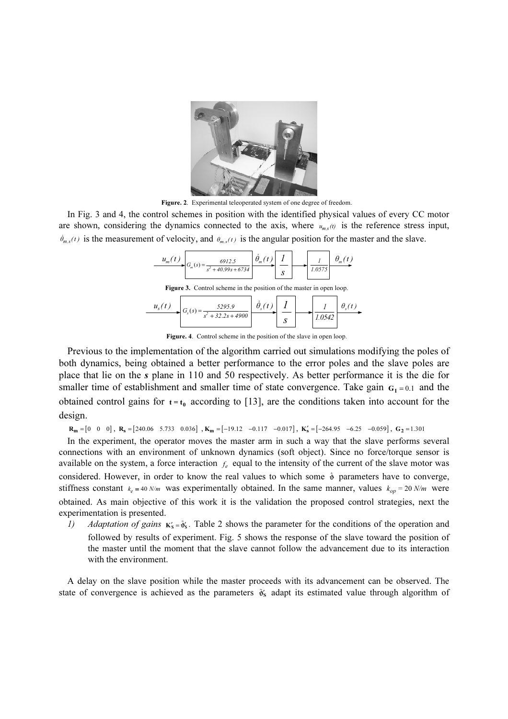

Figure. 2. Experimental teleoperated system of one degree of freedom.

In Fig. 3 and 4, the control schemes in position with the identified physical values of every CC motor are shown, considering the dynamics connected to the axis, where  $u_{m,s}(\theta)$  is the reference stress input,  $\dot{\theta}_{m,s}(t)$  is the measurement of velocity, and  $\theta_{m,s}(t)$  is the angular position for the master and the slave. ol schemes in position with the identified p<br>dynamics connected to the axis, where  $t$ <br>f velocity, and  $\theta_{m,s}(t)$  is the angular position<br> $\frac{u_m(t)}{u_m(t)}$ 

| $u_{m}(t)$                                                                  | $=\frac{6912.5}{s^2+40.99s+6734}$ | $\Box \theta_m$ te |  |  | 1.0575 |  |  |  |  |  |
|-----------------------------------------------------------------------------|-----------------------------------|--------------------|--|--|--------|--|--|--|--|--|
| <b>Figure 3.</b> Control scheme in the position of the master in open loop. |                                   |                    |  |  |        |  |  |  |  |  |
| $u_{s}(t)$                                                                  | 5295.9<br>1000<br>22.2            |                    |  |  |        |  |  |  |  |  |

Figure 3. Control scheme in the position of the master in open loop.

| $u_{s}(t)$ | 5295.9<br>$\mathbf{v}_s$ $\mathbf{v}_s$ | v |   |        | $\mathbf{U}_{\alpha}$ |
|------------|-----------------------------------------|---|---|--------|-----------------------|
|            | $+32.2s+4900$<br>s"                     |   | ມ | 1.0542 |                       |

Figure. 4. Control scheme in the position of the slave in open loop.

Previous to the implementation of the algorithm carried out simulations modifying the poles of both dynamics, being obtained a better performance to the error poles and the slave poles are place that lie on the s plane in 110 and 50 respectively. As better performance it is the die for smaller time of establishment and smaller time of state convergence. Take gain  $G_1 = 0.1$  and the obtained control gains for  $t = t_0$  according to [13], are the conditions taken into account for the design.

 $\mathbf{R}_{\mathbf{m}} = \begin{bmatrix} 0 & 0 & 0 \end{bmatrix}$ ,  $\mathbf{R}_{\mathbf{s}} = \begin{bmatrix} 240.06 & 5.733 & 0.036 \end{bmatrix}$ ,  $\mathbf{K}_{\mathbf{m}} = \begin{bmatrix} -19.12 & -0.117 & -0.017 \end{bmatrix}$ ,  $\mathbf{K}'_{\mathbf{s}} = \begin{bmatrix} -264.95 & -6.25 & -0.059 \end{bmatrix}$ ,  $\mathbf{G}_{2} = 1.301$ 

In the experiment, the operator moves the master arm in such a way that the slave performs several connections with an environment of unknown dynamics (soft object). Since no force/torque sensor is available on the system, a force interaction  $f_e$  equal to the intensity of the current of the slave motor was connections with an environment of unknown dynamics (soft object). Since no force/torque sensor is available on the system, a force interaction  $f_e$  equal to the intensity of the current of the slave motor was considered. stiffness constant  $k_e = 40 N/m$  was experimentally obtained. In the same manner, values  $k_{op} = 20 N/m$  were obtained. As main objective of this work it is the validation the proposed control strategies, next the experimentation is presented.

1) Adaptation of gains  $K'_s = \tilde{\sigma}'_s$ . Table 2 shows the parameter for the conditions of the operation and followed by results of experiment. Fig. 5 shows the response of the slave toward the position of the master until the moment that the slave cannot follow the advancement due to its interaction with the environment.

A delay on the slave position while the master proceeds with its advancement can be observed. The with the environment.<br>A delay on the slave position while the master proceeds with its advancement can be observed. The state of convergence is achieved as the parameters  $\tilde{\theta}'_s$  adapt its estimated value through algor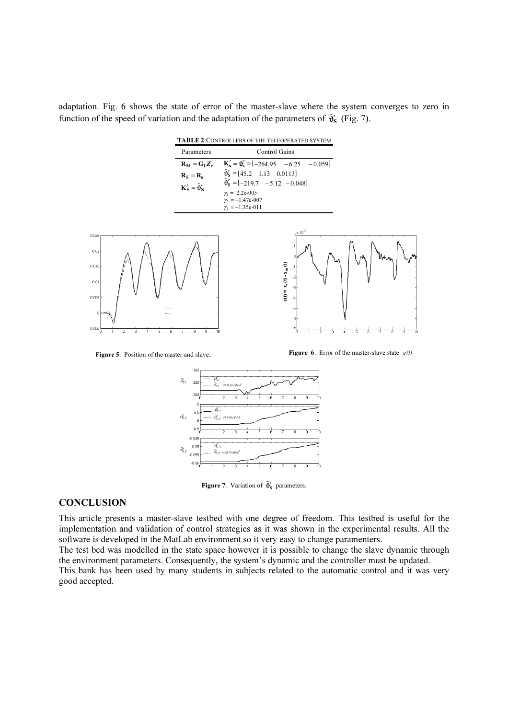adaptation. Fig. 6 shows the state of error of the master-slave where the system converges to zero in function of the speed of variation and the adaptation of the parameters of  $\tilde{\mathfrak{g}}_s$  (Fig. 7). **he system**<br> $\tilde{\mathbf{\Theta}}_{\mathbf{S}}^{\mathbf{\prime}}$  (Fig. 7).

TABLE <sup>2</sup>:CONTROLLERS OF THE TELEOPERATED SYSTEM Control Gains  $R_M = G_1 Z_e$  $R_{\rm s} = R_{\rm s}$  $K'_{S} = \tilde{\mathbf{\Phi}}'_{S}$ Parameters  $K'_{s} = \mathbf{\vartheta}'_{s} = [-264.95 \quad -6.25 \quad -0.059]$  $\hat{\mathbf{\theta}}'_{\mathbf{S}} = \begin{bmatrix} 45.2 & 1.13 & 0.0113 \end{bmatrix}$  $[-219.7 -5.12 -0.048]$  $-6.25 -0.059$ Control Gair<br>
Control Gair<br> **K**'<sub>s</sub> = **ô**'<sub>s</sub> = [-264.95 –<br>
∂'<sub>S</sub> = [45.2 1.13 0.01]<br>
∂'<sub>S</sub> = [-219.7 –5.12 –  $\hat{\mathbf{\theta}}_{\mathbf{S}} = \begin{bmatrix} 4 \end{bmatrix}$  $\tilde{\boldsymbol{\vartheta}}_{\mathrm{S}}$  $γ<sub>1</sub> = 2.2e-005$ 

 $\gamma_2 = -1.47e-007$  $\gamma_3 = -1.35e-011$ 3



Figure 5. Position of the master and slave.

**Figure 6.** Error of the master-slave state  $e(t)$ 



**Figure 7.** Variation of  $\tilde{\mathbf{\Phi}}'_{\mathbf{S}}$  parameters.

# **CONCLUSION**

This article presents a master-slave testbed with one degree of freedom. This testbed is useful for the implementation and validation of control strategies as it was shown in the experimental results. All the software is developed in the MatLab environment so it very easy to change paramenters.

The test bed was modelled in the state space however it is possible to change the slave dynamic through the environment parameters. Consequently, the system's dynamic and the controller must be updated.

This bank has been used by many students in subjects related to the automatic control and it was very good accepted.